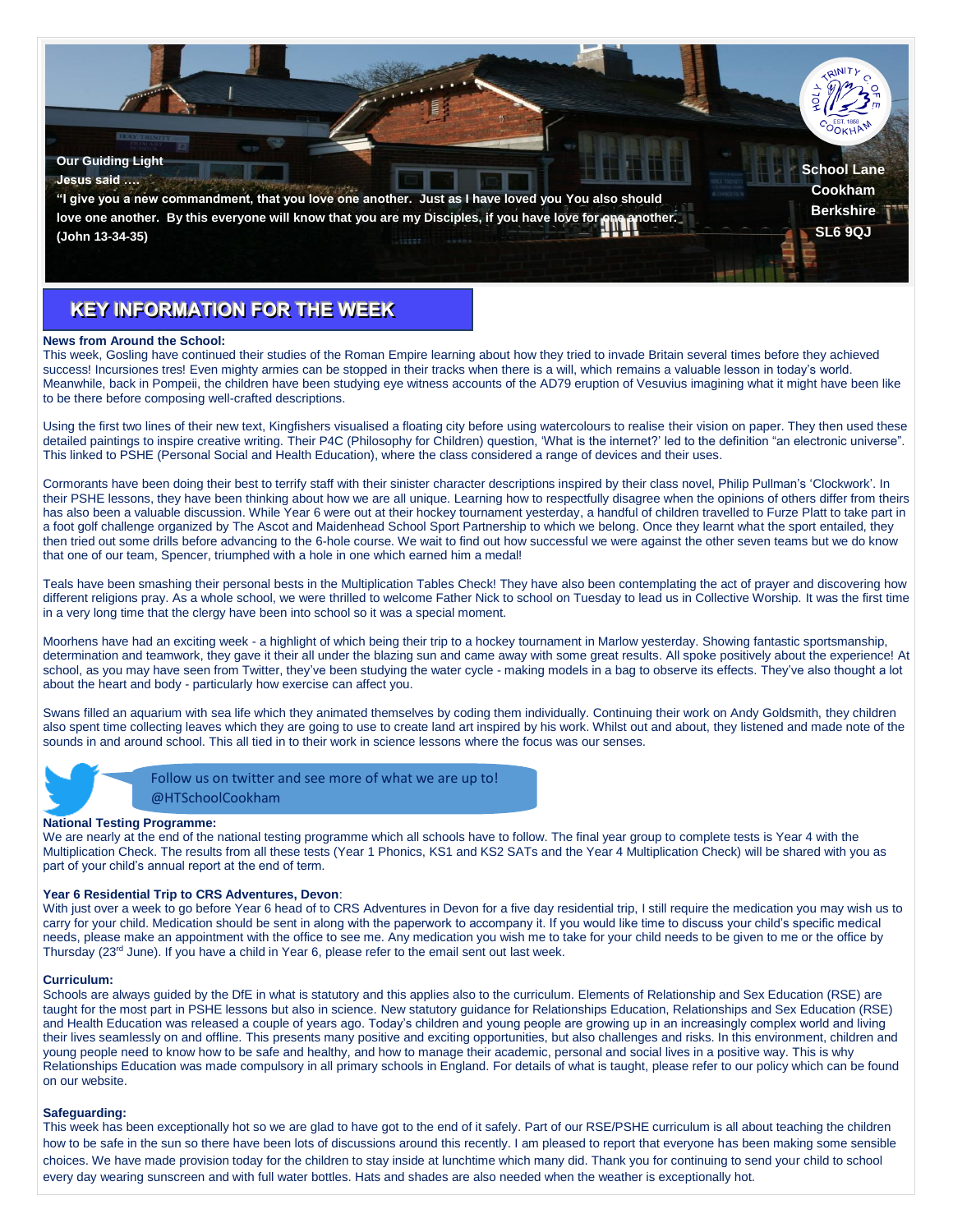

# **KEY INFORMATION FOR THE WEEK**

## **News from Around the School:**

This week, Gosling have continued their studies of the Roman Empire learning about how they tried to invade Britain several times before they achieved success! Incursiones tres! Even mighty armies can be stopped in their tracks when there is a will, which remains a valuable lesson in today's world. Meanwhile, back in Pompeii, the children have been studying eye witness accounts of the AD79 eruption of Vesuvius imagining what it might have been like to be there before composing well-crafted descriptions.

Using the first two lines of their new text, Kingfishers visualised a floating city before using watercolours to realise their vision on paper. They then used these detailed paintings to inspire creative writing. Their P4C (Philosophy for Children) question, 'What is the internet?' led to the definition "an electronic universe". This linked to PSHE (Personal Social and Health Education), where the class considered a range of devices and their uses.

Cormorants have been doing their best to terrify staff with their sinister character descriptions inspired by their class novel, Philip Pullman's 'Clockwork'. In their PSHE lessons, they have been thinking about how we are all unique. Learning how to respectfully disagree when the opinions of others differ from theirs has also been a valuable discussion. While Year 6 were out at their hockey tournament yesterday, a handful of children travelled to Furze Platt to take part in a foot golf challenge organized by The Ascot and Maidenhead School Sport Partnership to which we belong. Once they learnt what the sport entailed, they then tried out some drills before advancing to the 6-hole course. We wait to find out how successful we were against the other seven teams but we do know that one of our team, Spencer, triumphed with a hole in one which earned him a medal!

Teals have been smashing their personal bests in the Multiplication Tables Check! They have also been contemplating the act of prayer and discovering how different religions pray. As a whole school, we were thrilled to welcome Father Nick to school on Tuesday to lead us in Collective Worship. It was the first time in a very long time that the clergy have been into school so it was a special moment.

Moorhens have had an exciting week - a highlight of which being their trip to a hockey tournament in Marlow yesterday. Showing fantastic sportsmanship, determination and teamwork, they gave it their all under the blazing sun and came away with some great results. All spoke positively about the experience! At school, as you may have seen from Twitter, they've been studying the water cycle - making models in a bag to observe its effects. They've also thought a lot about the heart and body - particularly how exercise can affect you.

Swans filled an aquarium with sea life which they animated themselves by coding them individually. Continuing their work on Andy Goldsmith, they children also spent time collecting leaves which they are going to use to create land art inspired by his work. Whilst out and about, they listened and made note of the sounds in and around school. This all tied in to their work in science lessons where the focus was our senses.



Follow us on twitter and see more of what we are up to! @HTSchoolCookham

# **National Testing Programme:**

We are nearly at the end of the national testing programme which all schools have to follow. The final year group to complete tests is Year 4 with the Multiplication Check. The results from all these tests (Year 1 Phonics, KS1 and KS2 SATs and the Year 4 Multiplication Check) will be shared with you as part of your child's annual report at the end of term.

### **Year 6 Residential Trip to CRS Adventures, Devon**:

With just over a week to go before Year 6 head of to CRS Adventures in Devon for a five day residential trip, I still require the medication you may wish us to carry for your child. Medication should be sent in along with the paperwork to accompany it. If you would like time to discuss your child's specific medical needs, please make an appointment with the office to see me. Any medication you wish me to take for your child needs to be given to me or the office by Thursday (23rd June). If you have a child in Year 6, please refer to the email sent out last week.

#### **Curriculum:**

Schools are always quided by the DfE in what is statutory and this applies also to the curriculum. Elements of Relationship and Sex Education (RSE) are taught for the most part in PSHE lessons but also in science. New statutory guidance for Relationships Education, Relationships and Sex Education (RSE) and Health Education was released a couple of years ago. Today's children and young people are growing up in an increasingly complex world and living their lives seamlessly on and offline. This presents many positive and exciting opportunities, but also challenges and risks. In this environment, children and young people need to know how to be safe and healthy, and how to manage their academic, personal and social lives in a positive way. This is why Relationships Education was made compulsory in all primary schools in England. For details of what is taught, please refer to our policy which can be found on our website.

#### **Safeguarding:**

This week has been exceptionally hot so we are glad to have got to the end of it safely. Part of our RSE/PSHE curriculum is all about teaching the children how to be safe in the sun so there have been lots of discussions around this recently. I am pleased to report that everyone has been making some sensible choices. We have made provision today for the children to stay inside at lunchtime which many did. Thank you for continuing to send your child to school every day wearing sunscreen and with full water bottles. Hats and shades are also needed when the weather is exceptionally hot.